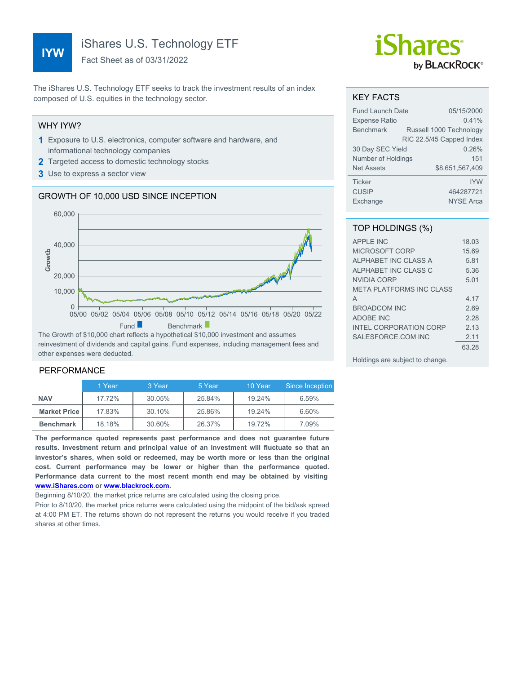# **IYW**

iShares U.S. Technology ETF

Fact Sheet as of 03/31/2022

The iShares U.S. Technology ETF seeks to track the investment results of an index composed of U.S. equities in the technology sector.

#### WHY IYW?

- **1** Exposure to U.S. electronics, computer software and hardware, and informational technology companies
- **2** Targeted access to domestic technology stocks
- **3** Use to express a sector view

## GROWTH OF 10,000 USD SINCE INCEPTION



reinvestment of dividends and capital gains. Fund expenses, including management fees and other expenses were deducted.

## PERFORMANCE

|                       | 1 Year | 3 Year | 5 Year | 10 Year | Since Inception |
|-----------------------|--------|--------|--------|---------|-----------------|
| <b>NAV</b>            | 17.72% | 30.05% | 25.84% | 19.24%  | 6.59%           |
| <b>Market Price  </b> | 17.83% | 30.10% | 25.86% | 19.24%  | 6.60%           |
| <b>Benchmark</b>      | 18.18% | 30.60% | 26.37% | 19.72%  | 7.09%           |

**The performance quoted represents past performance and does not guarantee future results. Investment return and principal value of an investment will fluctuate so that an investor's shares, when sold or redeemed, may be worth more or less than the original cost. Current performance may be lower or higher than the performance quoted. Performance data current to the most recent month end may be obtained by visiting [www.iShares.com](http://www.iShares.com) or [www.blackrock.com](http://www.blackrock.com).**

Beginning 8/10/20, the market price returns are calculated using the closing price.

Prior to 8/10/20, the market price returns were calculated using the midpoint of the bid/ask spread at 4:00 PM ET. The returns shown do not represent the returns you would receive if you traded shares at other times.

# *iShares* by **BLACKROCK**®

#### KEY FACTS

| <b>Fund Launch Date</b> | 05/15/2000               |
|-------------------------|--------------------------|
| <b>Expense Ratio</b>    | 0.41%                    |
| <b>Benchmark</b>        | Russell 1000 Technology  |
|                         | RIC 22.5/45 Capped Index |
| 30 Day SEC Yield        | 0.26%                    |
| Number of Holdings      | 151                      |
| <b>Net Assets</b>       | \$8.651.567.409          |
| <b>Ticker</b>           | <b>IYW</b>               |
| <b>CUSIP</b>            | 464287721                |
| Exchange                | <b>NYSE Arca</b>         |

#### TOP HOLDINGS (%)

| APPI F INC                      | 18.03 |
|---------------------------------|-------|
| MICROSOFT CORP                  | 15.69 |
| ALPHABET INC CLASS A            | 5.81  |
| ALPHABET INC CLASS C            | 5.36  |
| NVIDIA CORP                     | 5.01  |
| <b>META PLATFORMS INC CLASS</b> |       |
| A                               | 4 17  |
| <b>BROADCOM INC</b>             | 269   |
| <b>ADOBE INC</b>                | 228   |
| <b>INTEL CORPORATION CORP</b>   | 2 13  |
| SALESFORCE COM INC              | 2.11  |
|                                 | 63.28 |
|                                 |       |

Holdings are subject to change.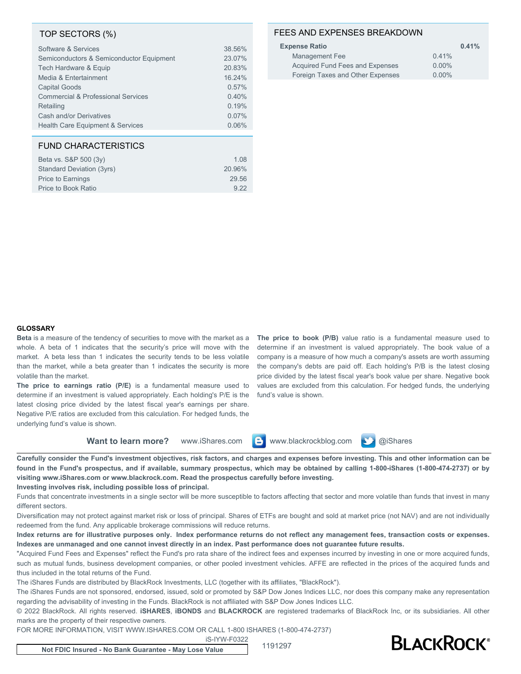#### TOP SECTORS (%)

| Software & Services                           | 38.56% |
|-----------------------------------------------|--------|
| Semiconductors & Semiconductor Equipment      | 23.07% |
| Tech Hardware & Equip                         | 20.83% |
| Media & Entertainment                         | 16.24% |
| <b>Capital Goods</b>                          | 0.57%  |
| <b>Commercial &amp; Professional Services</b> | 0.40%  |
| Retailing                                     | 0.19%  |
| Cash and/or Derivatives                       | 0.07%  |
| <b>Health Care Equipment &amp; Services</b>   | 0.06%  |

## FUND CHARACTERISTICS

| Beta vs. S&P 500 (3y)     | 1.08   |
|---------------------------|--------|
| Standard Deviation (3yrs) | 20.96% |
| <b>Price to Earnings</b>  | 29.56  |
| Price to Book Ratio       | 922    |
|                           |        |

## FEES AND EXPENSES BREAKDOWN

| <b>Expense Ratio</b>             | 0.41%    |
|----------------------------------|----------|
| Management Fee                   | 0.41%    |
| Acquired Fund Fees and Expenses  | $0.00\%$ |
| Foreign Taxes and Other Expenses | $0.00\%$ |
|                                  |          |

#### **GLOSSARY**

**Beta** is a measure of the tendency of securities to move with the market as a whole. A beta of 1 indicates that the security's price will move with the market. A beta less than 1 indicates the security tends to be less volatile than the market, while a beta greater than 1 indicates the security is more volatile than the market.

**The price to earnings ratio (P/E)** is a fundamental measure used to determine if an investment is valued appropriately. Each holding's P/E is the latest closing price divided by the latest fiscal year's earnings per share. Negative P/E ratios are excluded from this calculation. For hedged funds, the underlying fund's value is shown.

**The price to book (P/B)** value ratio is a fundamental measure used to determine if an investment is valued appropriately. The book value of a company is a measure of how much a company's assets are worth assuming the company's debts are paid off. Each holding's P/B is the latest closing price divided by the latest fiscal year's book value per share. Negative book values are excluded from this calculation. For hedged funds, the underlying fund's value is shown.

**Want to learn more?** www.iShares.com **C** www.blackrockblog.com **N** @iShares

**Carefully consider the Fund's investment objectives, risk factors, and charges and expenses before investing. This and other information can be found in the Fund's prospectus, and if available, summary prospectus, which may be obtained by calling 1-800-iShares (1-800-474-2737) or by visiting www.iShares.com or www.blackrock.com. Read the prospectus carefully before investing.**

**Investing involves risk, including possible loss of principal.**

Funds that concentrate investments in a single sector will be more susceptible to factors affecting that sector and more volatile than funds that invest in many different sectors.

Diversification may not protect against market risk or loss of principal. Shares of ETFs are bought and sold at market price (not NAV) and are not individually redeemed from the fund. Any applicable brokerage commissions will reduce returns.

**Index returns are for illustrative purposes only. Index performance returns do not reflect any management fees, transaction costs or expenses. Indexes are unmanaged and one cannot invest directly in an index. Past performance does not guarantee future results.**

"Acquired Fund Fees and Expenses" reflect the Fund's pro rata share of the indirect fees and expenses incurred by investing in one or more acquired funds, such as mutual funds, business development companies, or other pooled investment vehicles. AFFE are reflected in the prices of the acquired funds and thus included in the total returns of the Fund.

The iShares Funds are distributed by BlackRock Investments, LLC (together with its affiliates, "BlackRock").

The iShares Funds are not sponsored, endorsed, issued, sold or promoted by S&P Dow Jones Indices LLC, nor does this company make any representation regarding the advisability of investing in the Funds. BlackRock is not affiliated with S&P Dow Jones Indices LLC.

© 2022 BlackRock. All rights reserved. **iSHARES**, **iBONDS** and **BLACKROCK** are registered trademarks of BlackRock Inc, or its subsidiaries. All other marks are the property of their respective owners.

FOR MORE INFORMATION, VISIT WWW.ISHARES.COM OR CALL 1-800 ISHARES (1-800-474-2737)

iS-IYW-F0322



**Not FDIC Insured - No Bank Guarantee - May Lose Value** <sup>1191297</sup>